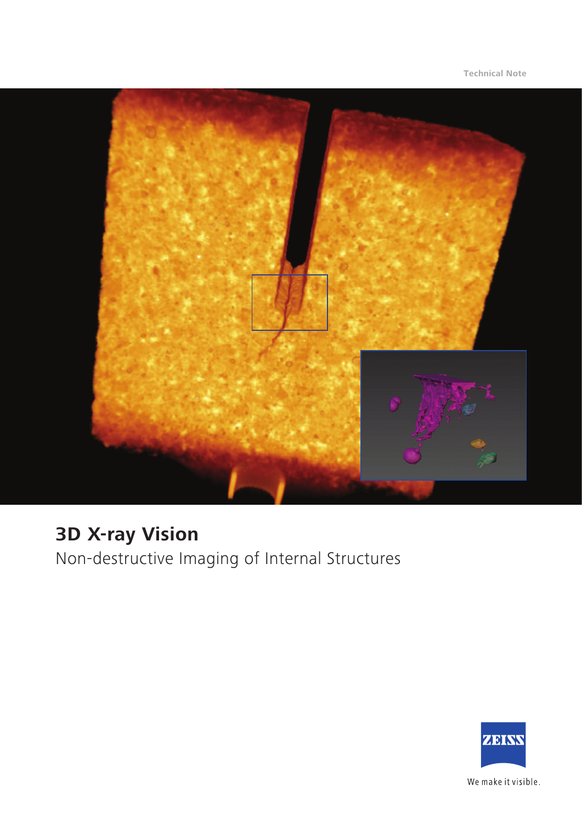

# **3D X-ray Vision**

Non-destructive Imaging of Internal Structures



We make it visible.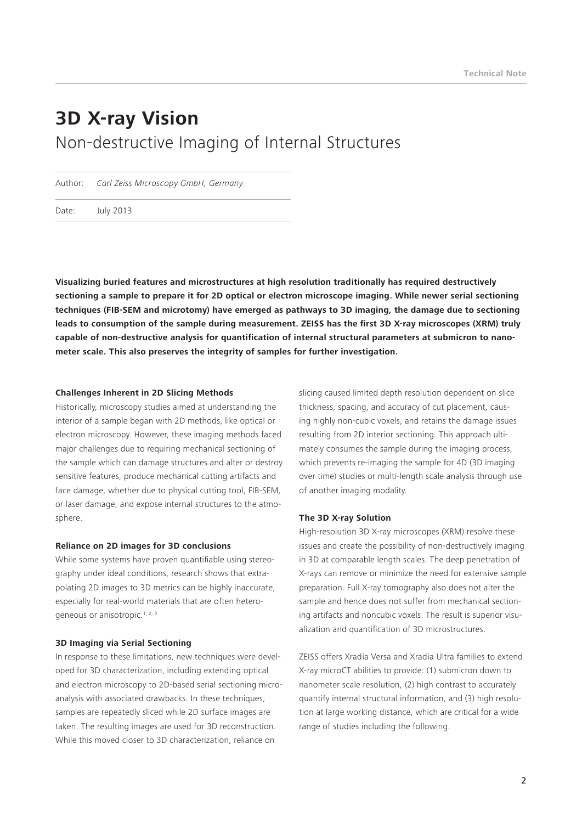# **3D X-ray Vision** Non-destructive Imaging of Internal Structures

Author: *Carl Zeiss Microscopy GmbH, Germany*

Date: July 2013

**Visualizing buried features and microstructures at high resolution traditionally has required destructively sectioning a sample to prepare it for 2D optical or electron microscope imaging. While newer serial sectioning techniques (FIB-SEM and microtomy) have emerged as pathways to 3D imaging, the damage due to sectioning leads to consumption of the sample during measurement. ZEISS has the first 3D X-ray microscopes (XRM) truly capable of non-destructive analysis for quantification of internal structural parameters at submicron to nanometer scale. This also preserves the integrity of samples for further investigation.**

#### **Challenges Inherent in 2D Slicing Methods**

Historically, microscopy studies aimed at understanding the interior of a sample began with 2D methods, like optical or electron microscopy. However, these imaging methods faced major challenges due to requiring mechanical sectioning of the sample which can damage structures and alter or destroy sensitive features, produce mechanical cutting artifacts and face damage, whether due to physical cutting tool, FIB-SEM, or laser damage, and expose internal structures to the atmosphere.

#### **Reliance on 2D images for 3D conclusions**

While some systems have proven quantifiable using stereography under ideal conditions, research shows that extrapolating 2D images to 3D metrics can be highly inaccurate, especially for real-world materials that are often heterogeneous or anisotropic.<sup>1, 2, 3</sup>

#### **3D Imaging via Serial Sectioning**

In response to these limitations, new techniques were developed for 3D characterization, including extending optical and electron microscopy to 2D-based serial sectioning microanalysis with associated drawbacks. In these techniques, samples are repeatedly sliced while 2D surface images are taken. The resulting images are used for 3D reconstruction. While this moved closer to 3D characterization, reliance on

slicing caused limited depth resolution dependent on slice thickness, spacing, and accuracy of cut placement, causing highly non-cubic voxels, and retains the damage issues resulting from 2D interior sectioning. This approach ultimately consumes the sample during the imaging process, which prevents re-imaging the sample for 4D (3D imaging over time) studies or multi-length scale analysis through use of another imaging modality.

## **The 3D X-ray Solution**

High-resolution 3D X-ray microscopes (XRM) resolve these issues and create the possibility of non-destructively imaging in 3D at comparable length scales. The deep penetration of X-rays can remove or minimize the need for extensive sample preparation. Full X-ray tomography also does not alter the sample and hence does not suffer from mechanical sectioning artifacts and noncubic voxels. The result is superior visualization and quantification of 3D microstructures.

ZEISS offers Xradia Versa and Xradia Ultra families to extend X-ray microCT abilities to provide: (1) submicron down to nanometer scale resolution, (2) high contrast to accurately quantify internal structural information, and (3) high resolution at large working distance, which are critical for a wide range of studies including the following.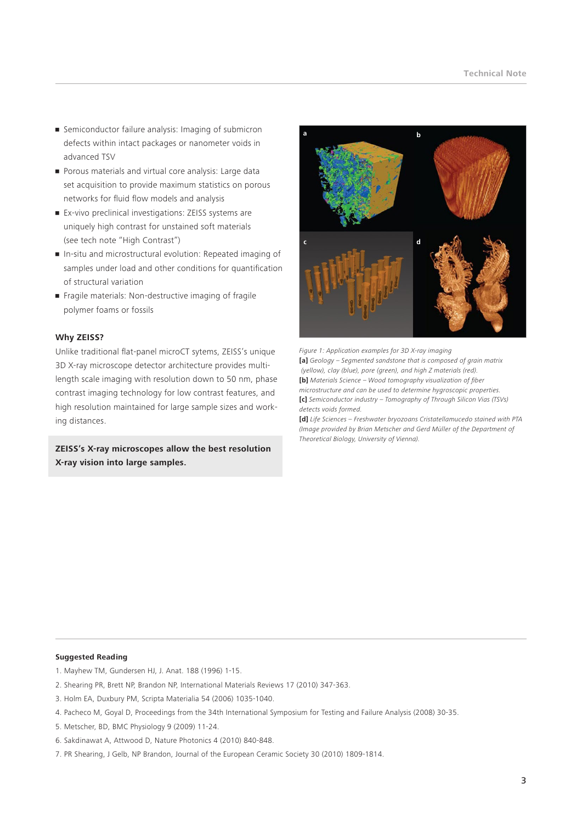- Semiconductor failure analysis: Imaging of submicron defects within intact packages or nanometer voids in advanced TSV
- Porous materials and virtual core analysis: Large data set acquisition to provide maximum statistics on porous networks for fluid flow models and analysis
- Ex-vivo preclinical investigations: ZEISS systems are uniquely high contrast for unstained soft materials (see tech note "High Contrast")
- In-situ and microstructural evolution: Repeated imaging of samples under load and other conditions for quantification of structural variation
- Fragile materials: Non-destructive imaging of fragile polymer foams or fossils

## **Why ZEISS?**

Unlike traditional flat-panel microCT sytems, ZEISS's unique 3D X-ray microscope detector architecture provides multilength scale imaging with resolution down to 50 nm, phase contrast imaging technology for low contrast features, and high resolution maintained for large sample sizes and working distances.

**ZEISS's X-ray microscopes allow the best resolution X-ray vision into large samples.**



*Figure 1: Application examples for 3D X-ray imaging*  **[a]** *Geology – Segmented sandstone that is composed of grain matrix (yellow), clay (blue), pore (green), and high Z materials (red).*  **[b]** *Materials Science – Wood tomography visualization of fiber microstructure and can be used to determine hygroscopic properties.* **[c]** *Semiconductor industry – Tomography of Through Silicon Vias (TSVs) detects voids formed.* 

**[d]** *Life Sciences – Freshwater bryozoans Cristatellamucedo stained with PTA (Image provided by Brian Metscher and Gerd Müller of the Department of Theoretical Biology, University of Vienna).*

#### **Suggested Reading**

- 1. Mayhew TM, Gundersen HJ, J. Anat. 188 (1996) 1-15.
- 2. Shearing PR, Brett NP, Brandon NP, International Materials Reviews 17 (2010) 347-363.
- 3. Holm EA, Duxbury PM, Scripta Materialia 54 (2006) 1035-1040.
- 4. Pacheco M, Goyal D, Proceedings from the 34th International Symposium for Testing and Failure Analysis (2008) 30-35.
- 5. Metscher, BD, BMC Physiology 9 (2009) 11-24.
- 6. Sakdinawat A, Attwood D, Nature Photonics 4 (2010) 840-848.
- 7. PR Shearing, J Gelb, NP Brandon, Journal of the European Ceramic Society 30 (2010) 1809-1814.